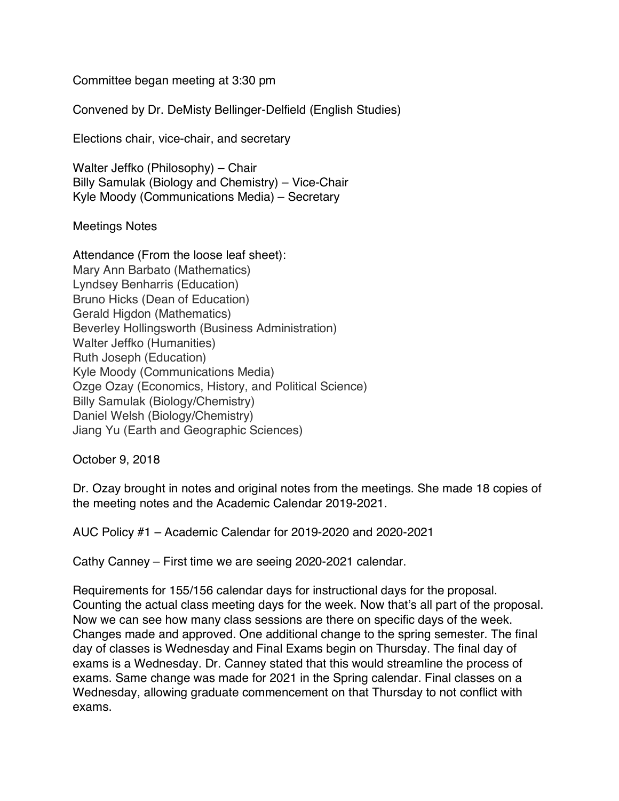Committee began meeting at 3:30 pm

Convened by Dr. DeMisty Bellinger-Delfield (English Studies)

Elections chair, vice-chair, and secretary

Walter Jeffko (Philosophy) – Chair Billy Samulak (Biology and Chemistry) – Vice-Chair Kyle Moody (Communications Media) – Secretary

Meetings Notes

Attendance (From the loose leaf sheet): Mary Ann Barbato (Mathematics) Lyndsey Benharris (Education) Bruno Hicks (Dean of Education) Gerald Higdon (Mathematics) Beverley Hollingsworth (Business Administration) Walter Jeffko (Humanities) Ruth Joseph (Education) Kyle Moody (Communications Media) Ozge Ozay (Economics, History, and Political Science) Billy Samulak (Biology/Chemistry) Daniel Welsh (Biology/Chemistry) Jiang Yu (Earth and Geographic Sciences)

October 9, 2018

Dr. Ozay brought in notes and original notes from the meetings. She made 18 copies of the meeting notes and the Academic Calendar 2019-2021.

AUC Policy #1 – Academic Calendar for 2019-2020 and 2020-2021

Cathy Canney – First time we are seeing 2020-2021 calendar.

Requirements for 155/156 calendar days for instructional days for the proposal. Counting the actual class meeting days for the week. Now that's all part of the proposal. Now we can see how many class sessions are there on specific days of the week. Changes made and approved. One additional change to the spring semester. The final day of classes is Wednesday and Final Exams begin on Thursday. The final day of exams is a Wednesday. Dr. Canney stated that this would streamline the process of exams. Same change was made for 2021 in the Spring calendar. Final classes on a Wednesday, allowing graduate commencement on that Thursday to not conflict with exams.